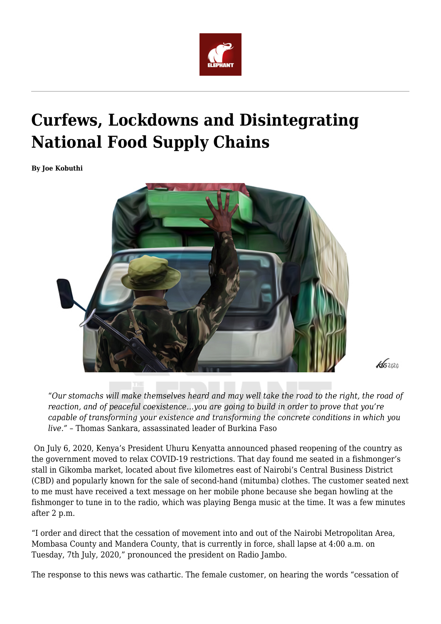

## **Curfews, Lockdowns and Disintegrating National Food Supply Chains**

**By Joe Kobuthi**



 $45200$ 

"*Our stomachs will make themselves heard and may well take the road to the right, the road of reaction, and of peaceful coexistence…you are going to build in order to prove that you're capable of transforming your existence and transforming the concrete conditions in which you live."* – Thomas Sankara, assassinated leader of Burkina Faso

On July 6, 2020, Kenya's President Uhuru Kenyatta announced phased reopening of the country as the government moved to relax COVID-19 restrictions. That day found me seated in a fishmonger's stall in Gikomba market, located about five kilometres east of Nairobi's Central Business District (CBD) and popularly known for the sale of second-hand (mitumba) clothes. The customer seated next to me must have received a text message on her mobile phone because she began howling at the fishmonger to tune in to the radio, which was playing Benga music at the time. It was a few minutes after 2 p.m.

"I order and direct that the cessation of movement into and out of the Nairobi Metropolitan Area, Mombasa County and Mandera County, that is currently in force, shall lapse at 4:00 a.m. on Tuesday, 7th July, 2020," pronounced the president on Radio Jambo.

The response to this news was cathartic. The female customer, on hearing the words "cessation of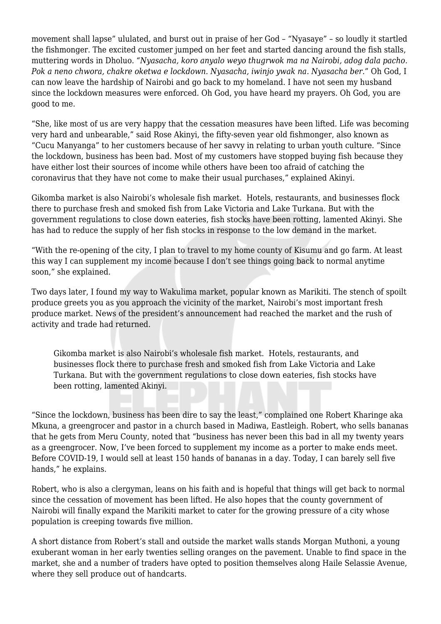movement shall lapse" ululated, and burst out in praise of her God – "Nyasaye" – so loudly it startled the fishmonger. The excited customer jumped on her feet and started dancing around the fish stalls, muttering words in Dholuo. *"Nyasacha, koro anyalo weyo thugrwok ma na Nairobi, adog dala pacho. Pok a neno chwora, chakre oketwa e lockdown. Nyasacha, iwinjo ywak na. Nyasacha ber.*" Oh God, I can now leave the hardship of Nairobi and go back to my homeland. I have not seen my husband since the lockdown measures were enforced. Oh God, you have heard my prayers. Oh God, you are good to me.

"She, like most of us are very happy that the cessation measures have been lifted. Life was becoming very hard and unbearable," said Rose Akinyi, the fifty-seven year old fishmonger, also known as "Cucu Manyanga" to her customers because of her savvy in relating to urban youth culture. "Since the lockdown, business has been bad. Most of my customers have stopped buying fish because they have either lost their sources of income while others have been too afraid of catching the coronavirus that they have not come to make their usual purchases," explained Akinyi.

Gikomba market is also Nairobi's wholesale fish market. Hotels, restaurants, and businesses flock there to purchase fresh and smoked fish from Lake Victoria and Lake Turkana. But with the government regulations to close down eateries, fish stocks have been rotting, lamented Akinyi. She has had to reduce the supply of her fish stocks in response to the low demand in the market.

"With the re-opening of the city, I plan to travel to my home county of Kisumu and go farm. At least this way I can supplement my income because I don't see things going back to normal anytime soon," she explained.

Two days later, I found my way to Wakulima market, popular known as Marikiti. The stench of spoilt produce greets you as you approach the vicinity of the market, Nairobi's most important fresh produce market. News of the president's announcement had reached the market and the rush of activity and trade had returned.

Gikomba market is also Nairobi's wholesale fish market. Hotels, restaurants, and businesses flock there to purchase fresh and smoked fish from Lake Victoria and Lake Turkana. But with the government regulations to close down eateries, fish stocks have been rotting, lamented Akinyi.

"Since the lockdown, business has been dire to say the least," complained one Robert Kharinge aka Mkuna, a greengrocer and pastor in a church based in Madiwa, Eastleigh. Robert, who sells bananas that he gets from Meru County, noted that "business has never been this bad in all my twenty years as a greengrocer. Now, I've been forced to supplement my income as a porter to make ends meet. Before COVID-19, I would sell at least 150 hands of bananas in a day. Today, I can barely sell five hands," he explains.

Robert, who is also a clergyman, leans on his faith and is hopeful that things will get back to normal since the cessation of movement has been lifted. He also hopes that the county government of Nairobi will finally expand the Marikiti market to cater for the growing pressure of a city whose population is creeping towards five million.

A short distance from Robert's stall and outside the market walls stands Morgan Muthoni, a young exuberant woman in her early twenties selling oranges on the pavement. Unable to find space in the market, she and a number of traders have opted to position themselves along Haile Selassie Avenue, where they sell produce out of handcarts.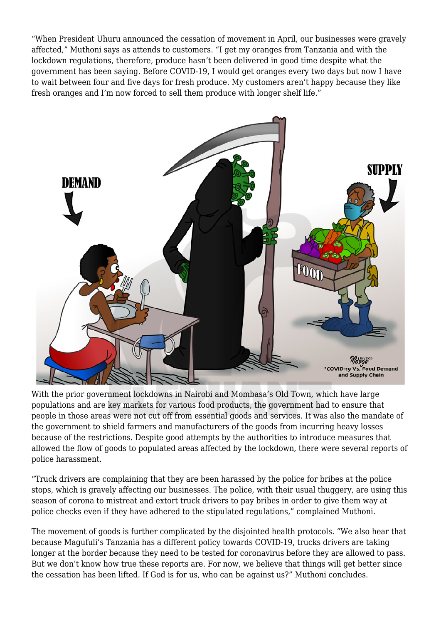"When President Uhuru announced the cessation of movement in April, our businesses were gravely affected," Muthoni says as attends to customers. "I get my oranges from Tanzania and with the lockdown regulations, therefore, produce hasn't been delivered in good time despite what the government has been saying. Before COVID-19, I would get oranges every two days but now I have to wait between four and five days for fresh produce. My customers aren't happy because they like fresh oranges and I'm now forced to sell them produce with longer shelf life."



With the prior government lockdowns in Nairobi and Mombasa's Old Town, which have large populations and are key markets for various food products, the government had to ensure that people in those areas were not cut off from essential goods and services. It was also the mandate of the government to shield farmers and manufacturers of the goods from incurring heavy losses because of the restrictions. Despite good attempts by the authorities to introduce measures that allowed the flow of goods to populated areas affected by the lockdown, there were several reports of police harassment.

"Truck drivers are complaining that they are been harassed by the police for bribes at the police stops, which is gravely affecting our businesses. The police, with their usual thuggery, are using this season of corona to mistreat and extort truck drivers to pay bribes in order to give them way at police checks even if they have adhered to the stipulated regulations," complained Muthoni.

The movement of goods is further complicated by the disjointed health protocols. "We also hear that because Magufuli's Tanzania has a different policy towards COVID-19, trucks drivers are taking longer at the border because they need to be tested for coronavirus before they are allowed to pass. But we don't know how true these reports are. For now, we believe that things will get better since the cessation has been lifted. If God is for us, who can be against us?" Muthoni concludes.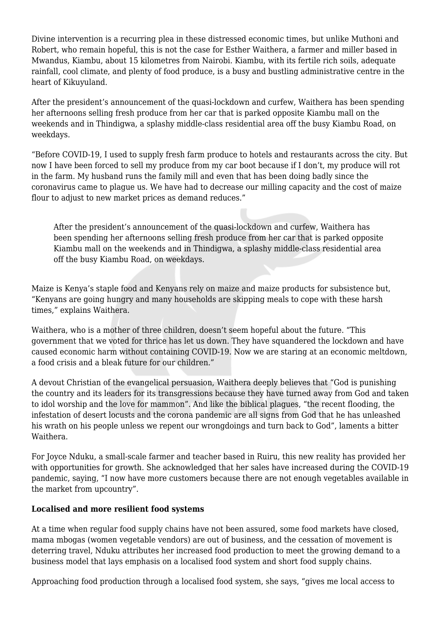Divine intervention is a recurring plea in these distressed economic times, but unlike Muthoni and Robert, who remain hopeful, this is not the case for Esther Waithera, a farmer and miller based in Mwandus, Kiambu, about 15 kilometres from Nairobi. Kiambu, with its fertile rich soils, adequate rainfall, cool climate, and plenty of food produce, is a busy and bustling administrative centre in the heart of Kikuyuland.

After the president's announcement of the quasi-lockdown and curfew, Waithera has been spending her afternoons selling fresh produce from her car that is parked opposite Kiambu mall on the weekends and in Thindigwa, a splashy middle-class residential area off the busy Kiambu Road, on weekdays.

"Before COVID-19, I used to supply fresh farm produce to hotels and restaurants across the city. But now I have been forced to sell my produce from my car boot because if I don't, my produce will rot in the farm. My husband runs the family mill and even that has been doing badly since the coronavirus came to plague us. We have had to decrease our milling capacity and the cost of maize flour to adjust to new market prices as demand reduces."

After the president's announcement of the quasi-lockdown and curfew, Waithera has been spending her afternoons selling fresh produce from her car that is parked opposite Kiambu mall on the weekends and in Thindigwa, a splashy middle-class residential area off the busy Kiambu Road, on weekdays.

Maize is Kenya's staple food and Kenyans rely on maize and maize products for subsistence but, "Kenyans are going hungry and many households are skipping meals to cope with these harsh times," explains Waithera.

Waithera, who is a mother of three children, doesn't seem hopeful about the future. "This government that we voted for thrice has let us down. They have squandered the lockdown and have caused economic harm without containing COVID-19. Now we are staring at an economic meltdown, a food crisis and a bleak future for our children."

A devout Christian of the evangelical persuasion, Waithera deeply believes that "God is punishing the country and its leaders for its transgressions because they have turned away from God and taken to idol worship and the love for mammon". And like the biblical plagues, "the recent flooding, the infestation of desert locusts and the corona pandemic are all signs from God that he has unleashed his wrath on his people unless we repent our wrongdoings and turn back to God", laments a bitter Waithera.

For Joyce Nduku, a small-scale farmer and teacher based in Ruiru, this new reality has provided her with opportunities for growth. She acknowledged that her sales have increased during the COVID-19 pandemic, saying, "I now have more customers because there are not enough vegetables available in the market from upcountry".

## **Localised and more resilient food systems**

At a time when regular food supply chains have not been assured, some food markets have closed, mama mbogas (women vegetable vendors) are out of business, and the cessation of movement is deterring travel, Nduku attributes her increased food production to meet the growing demand to a business model that lays emphasis on a localised food system and short food supply chains.

Approaching food production through a localised food system, she says, "gives me local access to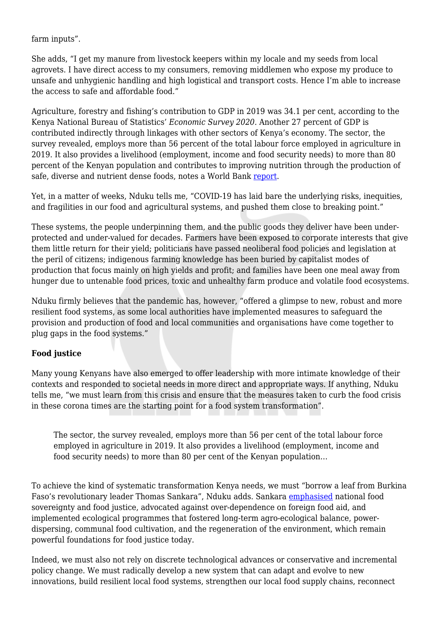farm inputs".

She adds, "I get my manure from livestock keepers within my locale and my seeds from local agrovets. I have direct access to my consumers, removing middlemen who expose my produce to unsafe and unhygienic handling and high logistical and transport costs. Hence I'm able to increase the access to safe and affordable food."

Agriculture, forestry and fishing's contribution to GDP in 2019 was 34.1 per cent, according to the Kenya National Bureau of Statistics' *Economic Survey 2020.* Another 27 percent of GDP is contributed indirectly through linkages with other sectors of Kenya's economy. The sector, the survey revealed, employs more than 56 percent of the total labour force employed in agriculture in 2019. It also provides a livelihood (employment, income and food security needs) to more than 80 percent of the Kenyan population and contributes to improving nutrition through the production of safe, diverse and nutrient dense foods, notes a World Bank [report.](https://www.worldbank.org/en/country/kenya/publication/kenya-economic-update-transforming-agricultural-productivity-to-achieve-food-security-for-all)

Yet, in a matter of weeks, Nduku tells me, "COVID-19 has laid bare the underlying risks, inequities, and fragilities in our food and agricultural systems, and pushed them close to breaking point."

These systems, the people underpinning them, and the public goods they deliver have been underprotected and under-valued for decades. Farmers have been exposed to corporate interests that give them little return for their yield; politicians have passed neoliberal food policies and legislation at the peril of citizens; indigenous farming knowledge has been buried by capitalist modes of production that focus mainly on high yields and profit; and families have been one meal away from hunger due to untenable food prices, toxic and unhealthy farm produce and volatile food ecosystems.

Nduku firmly believes that the pandemic has, however, "offered a glimpse to new, robust and more resilient food systems, as some local authorities have implemented measures to safeguard the provision and production of food and local communities and organisations have come together to plug gaps in the food systems."

## **Food justice**

Many young Kenyans have also emerged to offer leadership with more intimate knowledge of their contexts and responded to societal needs in more direct and appropriate ways. If anything, Nduku tells me, "we must learn from this crisis and ensure that the measures taken to curb the food crisis in these corona times are the starting point for a food system transformation".

The sector, the survey revealed, employs more than 56 per cent of the total labour force employed in agriculture in 2019. It also provides a livelihood (employment, income and food security needs) to more than 80 per cent of the Kenyan population…

To achieve the kind of systematic transformation Kenya needs, we must "borrow a leaf from Burkina Faso's revolutionary leader Thomas Sankara", Nduku adds. Sankara [emphasised](https://africanarguments.org/2016/04/22/our-stomachs-will-make-themselves-heard-what-sankara-can-teach-us-about-food-justice-today/) national food sovereignty and food justice, advocated against over-dependence on foreign food aid, and implemented ecological programmes that fostered long-term agro-ecological balance, powerdispersing, communal food cultivation, and the regeneration of the environment, which remain powerful foundations for food justice today.

Indeed, we must also not rely on discrete technological advances or conservative and incremental policy change. We must radically develop a new system that can adapt and evolve to new innovations, build resilient local food systems, strengthen our local food supply chains, reconnect